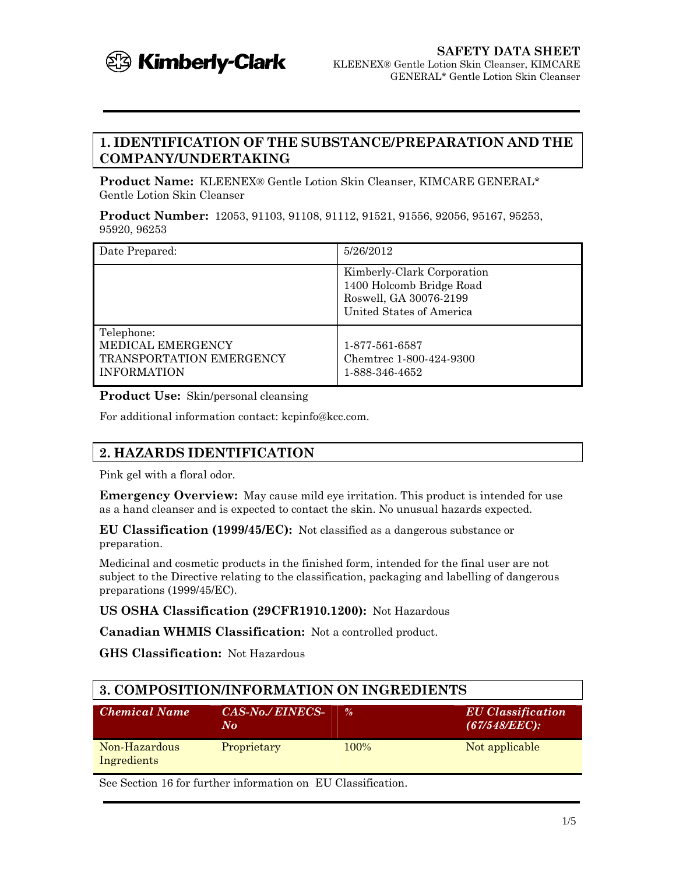

## **1. IDENTIFICATION OF THE SUBSTANCE/PREPARATION AND THE COMPANY/UNDERTAKING**

**Product Name:** KLEENEX® Gentle Lotion Skin Cleanser, KIMCARE GENERAL\* Gentle Lotion Skin Cleanser

**Product Number:** 12053, 91103, 91108, 91112, 91521, 91556, 92056, 95167, 95253, 95920, 96253

| Date Prepared:                                                                           | 5/26/2012                                                                                                    |
|------------------------------------------------------------------------------------------|--------------------------------------------------------------------------------------------------------------|
|                                                                                          | Kimberly-Clark Corporation<br>1400 Holcomb Bridge Road<br>Roswell, GA 30076-2199<br>United States of America |
| Telephone:<br>MEDICAL EMERGENCY<br><b>TRANSPORTATION EMERGENCY</b><br><b>INFORMATION</b> | 1-877-561-6587<br>Chemtrec 1-800-424-9300<br>1-888-346-4652                                                  |

**Product Use:** Skin/personal cleansing

For additional information contact: kcpinfo@kcc.com.

## **2. HAZARDS IDENTIFICATION**

Pink gel with a floral odor.

**Emergency Overview:** May cause mild eye irritation. This product is intended for use as a hand cleanser and is expected to contact the skin. No unusual hazards expected.

**EU Classification (1999/45/EC):** Not classified as a dangerous substance or preparation.

Medicinal and cosmetic products in the finished form, intended for the final user are not subject to the Directive relating to the classification, packaging and labelling of dangerous preparations (1999/45/EC).

**US OSHA Classification (29CFR1910.1200):** Not Hazardous

**Canadian WHMIS Classification:** Not a controlled product.

**GHS Classification:** Not Hazardous

| 3. COMPOSITION/INFORMATION ON INGREDIENTS |                                                 |               |                                           |  |
|-------------------------------------------|-------------------------------------------------|---------------|-------------------------------------------|--|
| <b>Chemical Name</b>                      | <i>CAS-No./ EINECS-</i><br>$N_{\boldsymbol{O}}$ | $\frac{9}{6}$ | <b>EU</b> Classification<br>(67/548/EEC): |  |
| Non-Hazardous<br>Ingredients              | Proprietary                                     | 100%          | Not applicable                            |  |

See Section 16 for further information on EU Classification.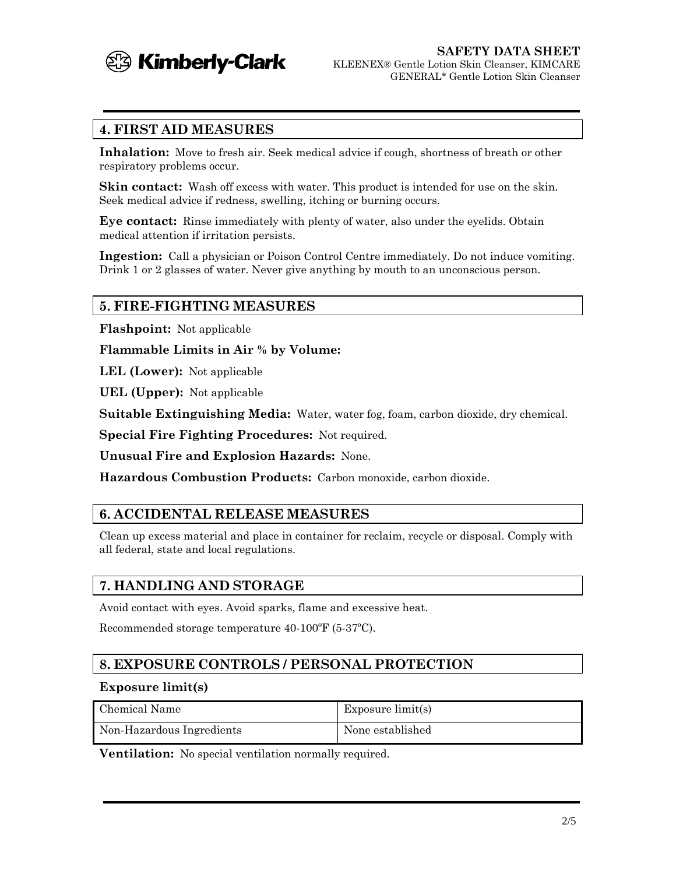

## **4. FIRST AID MEASURES**

**Inhalation:** Move to fresh air. Seek medical advice if cough, shortness of breath or other respiratory problems occur.

**Skin contact:** Wash off excess with water. This product is intended for use on the skin. Seek medical advice if redness, swelling, itching or burning occurs.

**Eye contact:** Rinse immediately with plenty of water, also under the eyelids. Obtain medical attention if irritation persists.

**Ingestion:** Call a physician or Poison Control Centre immediately. Do not induce vomiting. Drink 1 or 2 glasses of water. Never give anything by mouth to an unconscious person.

## **5. FIRE-FIGHTING MEASURES**

**Flashpoint:** Not applicable

**Flammable Limits in Air % by Volume:**

**LEL (Lower):** Not applicable

**UEL (Upper):** Not applicable

**Suitable Extinguishing Media:** Water, water fog, foam, carbon dioxide, dry chemical.

**Special Fire Fighting Procedures:** Not required.

**Unusual Fire and Explosion Hazards:** None.

**Hazardous Combustion Products:** Carbon monoxide, carbon dioxide.

### **6. ACCIDENTAL RELEASE MEASURES**

Clean up excess material and place in container for reclaim, recycle or disposal. Comply with all federal, state and local regulations.

### **7. HANDLING AND STORAGE**

Avoid contact with eyes. Avoid sparks, flame and excessive heat.

Recommended storage temperature 40-100ºF (5-37ºC).

## **8. EXPOSURE CONTROLS / PERSONAL PROTECTION**

#### **Exposure limit(s)**

| Chemical Name             | Exposure $limit(s)$ |
|---------------------------|---------------------|
| Non-Hazardous Ingredients | None established    |

**Ventilation:** No special ventilation normally required.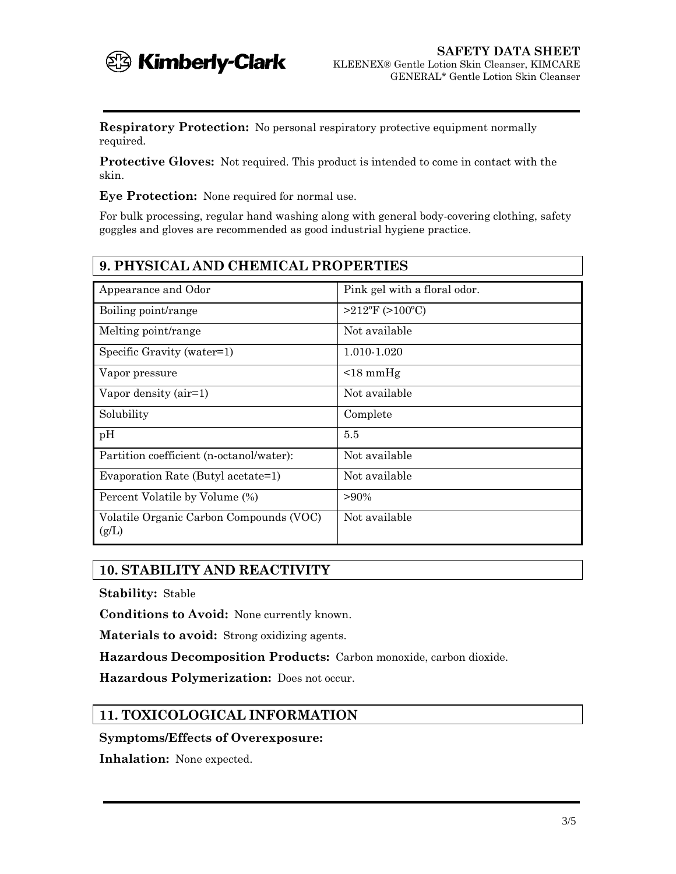

**Respiratory Protection:** No personal respiratory protective equipment normally required.

**Protective Gloves:** Not required. This product is intended to come in contact with the skin.

**Eye Protection:** None required for normal use.

For bulk processing, regular hand washing along with general body-covering clothing, safety goggles and gloves are recommended as good industrial hygiene practice.

| <b>9. PHYSICAL AND CHEMICAL PROPERTIES</b>       |                              |  |
|--------------------------------------------------|------------------------------|--|
| Appearance and Odor                              | Pink gel with a floral odor. |  |
| Boiling point/range                              | $>212$ °F (>100°C)           |  |
| Melting point/range                              | Not available                |  |
| Specific Gravity (water=1)                       | 1.010-1.020                  |  |
| Vapor pressure                                   | $\leq 18$ mmHg               |  |
| Vapor density (air=1)                            | Not available                |  |
| Solubility                                       | Complete                     |  |
| pH                                               | 5.5                          |  |
| Partition coefficient (n-octanol/water):         | Not available                |  |
| Evaporation Rate (Butyl acetate=1)               | Not available                |  |
| Percent Volatile by Volume (%)                   | $>90\%$                      |  |
| Volatile Organic Carbon Compounds (VOC)<br>(g/L) | Not available                |  |

### **10. STABILITY AND REACTIVITY**

**Stability:** Stable

**Conditions to Avoid:** None currently known.

**Materials to avoid:** Strong oxidizing agents.

**Hazardous Decomposition Products:** Carbon monoxide, carbon dioxide.

**Hazardous Polymerization:** Does not occur.

## **11. TOXICOLOGICAL INFORMATION**

**Symptoms/Effects of Overexposure:**

**Inhalation:** None expected.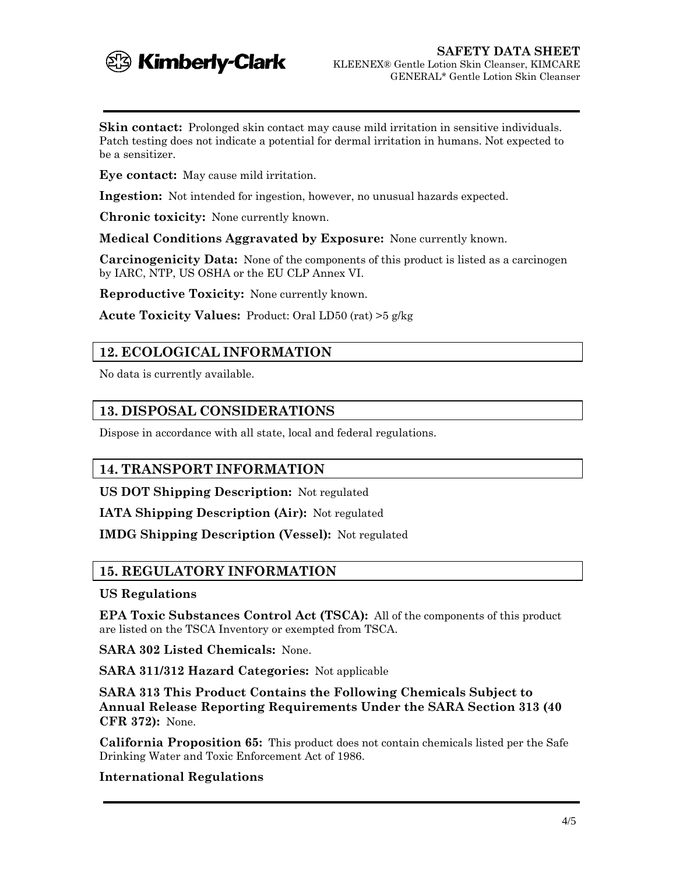

**Skin contact:** Prolonged skin contact may cause mild irritation in sensitive individuals. Patch testing does not indicate a potential for dermal irritation in humans. Not expected to be a sensitizer.

**Eye contact:** May cause mild irritation.

**Ingestion:** Not intended for ingestion, however, no unusual hazards expected.

**Chronic toxicity:** None currently known.

**Medical Conditions Aggravated by Exposure:** None currently known.

**Carcinogenicity Data:** None of the components of this product is listed as a carcinogen by IARC, NTP, US OSHA or the EU CLP Annex VI.

**Reproductive Toxicity:** None currently known.

**Acute Toxicity Values:** Product: Oral LD50 (rat) >5 g/kg

## **12. ECOLOGICAL INFORMATION**

No data is currently available.

## **13. DISPOSAL CONSIDERATIONS**

Dispose in accordance with all state, local and federal regulations.

### **14. TRANSPORT INFORMATION**

**US DOT Shipping Description:** Not regulated

**IATA Shipping Description (Air):** Not regulated

**IMDG Shipping Description (Vessel):** Not regulated

### **15. REGULATORY INFORMATION**

#### **US Regulations**

**EPA Toxic Substances Control Act (TSCA):** All of the components of this product are listed on the TSCA Inventory or exempted from TSCA.

**SARA 302 Listed Chemicals:** None.

**SARA 311/312 Hazard Categories:** Not applicable

**SARA 313 This Product Contains the Following Chemicals Subject to Annual Release Reporting Requirements Under the SARA Section 313 (40 CFR 372):** None.

**California Proposition 65:** This product does not contain chemicals listed per the Safe Drinking Water and Toxic Enforcement Act of 1986.

#### **International Regulations**